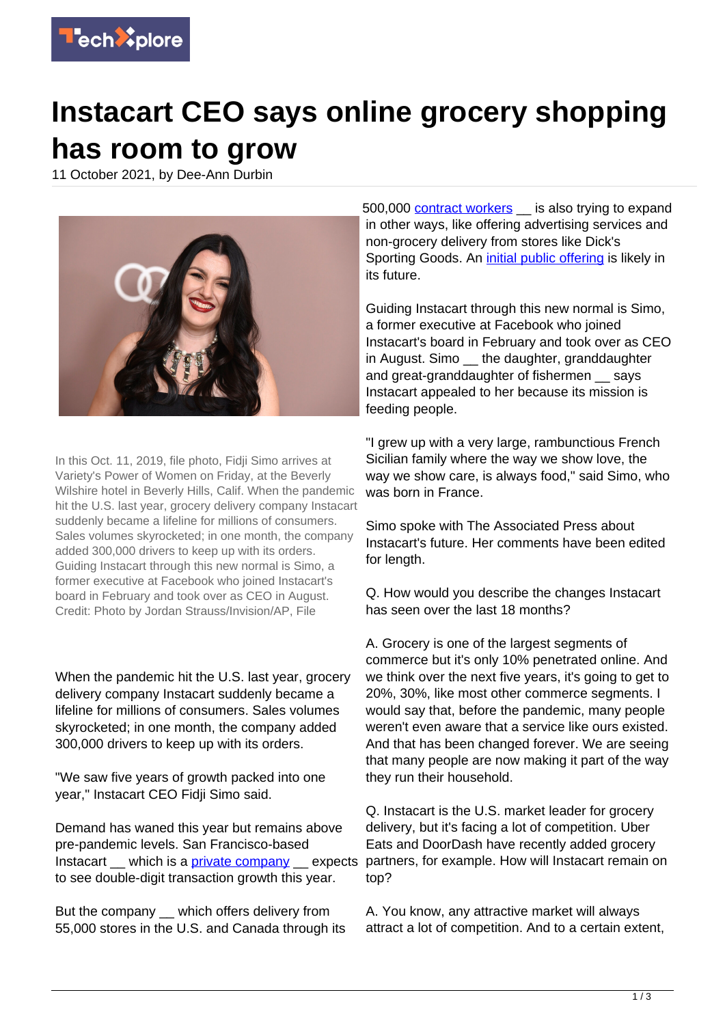

## **Instacart CEO says online grocery shopping has room to grow**

11 October 2021, by Dee-Ann Durbin



In this Oct. 11, 2019, file photo, Fidji Simo arrives at Variety's Power of Women on Friday, at the Beverly Wilshire hotel in Beverly Hills, Calif. When the pandemic hit the U.S. last year, grocery delivery company Instacart suddenly became a lifeline for millions of consumers. Sales volumes skyrocketed; in one month, the company added 300,000 drivers to keep up with its orders. Guiding Instacart through this new normal is Simo, a former executive at Facebook who joined Instacart's board in February and took over as CEO in August. Credit: Photo by Jordan Strauss/Invision/AP, File

When the pandemic hit the U.S. last year, grocery delivery company Instacart suddenly became a lifeline for millions of consumers. Sales volumes skyrocketed; in one month, the company added 300,000 drivers to keep up with its orders.

"We saw five years of growth packed into one year," Instacart CEO Fidji Simo said.

Demand has waned this year but remains above pre-pandemic levels. San Francisco-based Instacart which is a [private company](https://techxplore.com/tags/private+company/) expects to see double-digit transaction growth this year.

But the company \_\_ which offers delivery from 55,000 stores in the U.S. and Canada through its 500,000 [contract workers](https://techxplore.com/tags/contract+workers/) \_\_ is also trying to expand in other ways, like offering advertising services and non-grocery delivery from stores like Dick's Sporting Goods. An [initial public offering](https://techxplore.com/tags/initial+public+offering/) is likely in its future.

Guiding Instacart through this new normal is Simo, a former executive at Facebook who joined Instacart's board in February and took over as CEO in August. Simo \_\_ the daughter, granddaughter and great-granddaughter of fishermen \_\_ says Instacart appealed to her because its mission is feeding people.

"I grew up with a very large, rambunctious French Sicilian family where the way we show love, the way we show care, is always food," said Simo, who was born in France.

Simo spoke with The Associated Press about Instacart's future. Her comments have been edited for length.

Q. How would you describe the changes Instacart has seen over the last 18 months?

A. Grocery is one of the largest segments of commerce but it's only 10% penetrated online. And we think over the next five years, it's going to get to 20%, 30%, like most other commerce segments. I would say that, before the pandemic, many people weren't even aware that a service like ours existed. And that has been changed forever. We are seeing that many people are now making it part of the way they run their household.

Q. Instacart is the U.S. market leader for grocery delivery, but it's facing a lot of competition. Uber Eats and DoorDash have recently added grocery partners, for example. How will Instacart remain on top?

A. You know, any attractive market will always attract a lot of competition. And to a certain extent,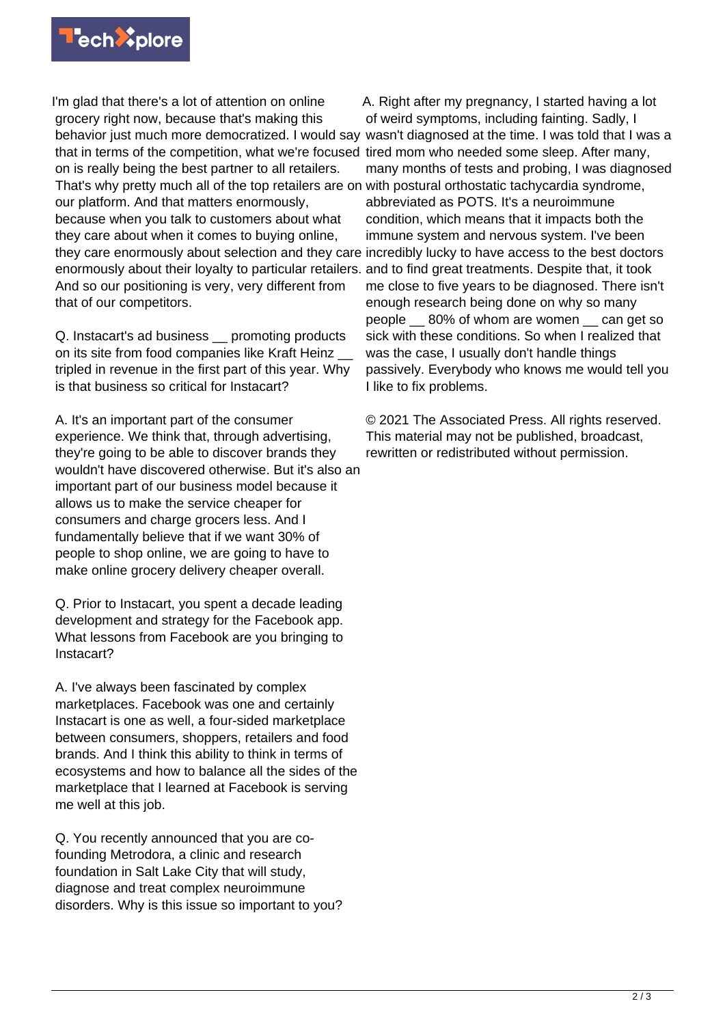

I'm glad that there's a lot of attention on online grocery right now, because that's making this behavior just much more democratized. I would say wasn't diagnosed at the time. I was told that I was a that in terms of the competition, what we're focused tired mom who needed some sleep. After many, on is really being the best partner to all retailers. That's why pretty much all of the top retailers are on with postural orthostatic tachycardia syndrome, our platform. And that matters enormously, because when you talk to customers about what they care about when it comes to buying online, they care enormously about selection and they care incredibly lucky to have access to the best doctors enormously about their loyalty to particular retailers. And so our positioning is very, very different from that of our competitors.

Q. Instacart's ad business \_\_ promoting products on its site from food companies like Kraft Heinz tripled in revenue in the first part of this year. Why is that business so critical for Instacart?

A. It's an important part of the consumer experience. We think that, through advertising, they're going to be able to discover brands they wouldn't have discovered otherwise. But it's also an important part of our business model because it allows us to make the service cheaper for consumers and charge grocers less. And I fundamentally believe that if we want 30% of people to shop online, we are going to have to make online grocery delivery cheaper overall.

Q. Prior to Instacart, you spent a decade leading development and strategy for the Facebook app. What lessons from Facebook are you bringing to Instacart?

A. I've always been fascinated by complex marketplaces. Facebook was one and certainly Instacart is one as well, a four-sided marketplace between consumers, shoppers, retailers and food brands. And I think this ability to think in terms of ecosystems and how to balance all the sides of the marketplace that I learned at Facebook is serving me well at this job.

Q. You recently announced that you are cofounding Metrodora, a clinic and research foundation in Salt Lake City that will study, diagnose and treat complex neuroimmune disorders. Why is this issue so important to you? A. Right after my pregnancy, I started having a lot of weird symptoms, including fainting. Sadly, I many months of tests and probing, I was diagnosed abbreviated as POTS. It's a neuroimmune condition, which means that it impacts both the immune system and nervous system. I've been and to find great treatments. Despite that, it took me close to five years to be diagnosed. There isn't enough research being done on why so many people \_\_ 80% of whom are women \_\_ can get so sick with these conditions. So when I realized that was the case, I usually don't handle things passively. Everybody who knows me would tell you I like to fix problems.

© 2021 The Associated Press. All rights reserved. This material may not be published, broadcast, rewritten or redistributed without permission.